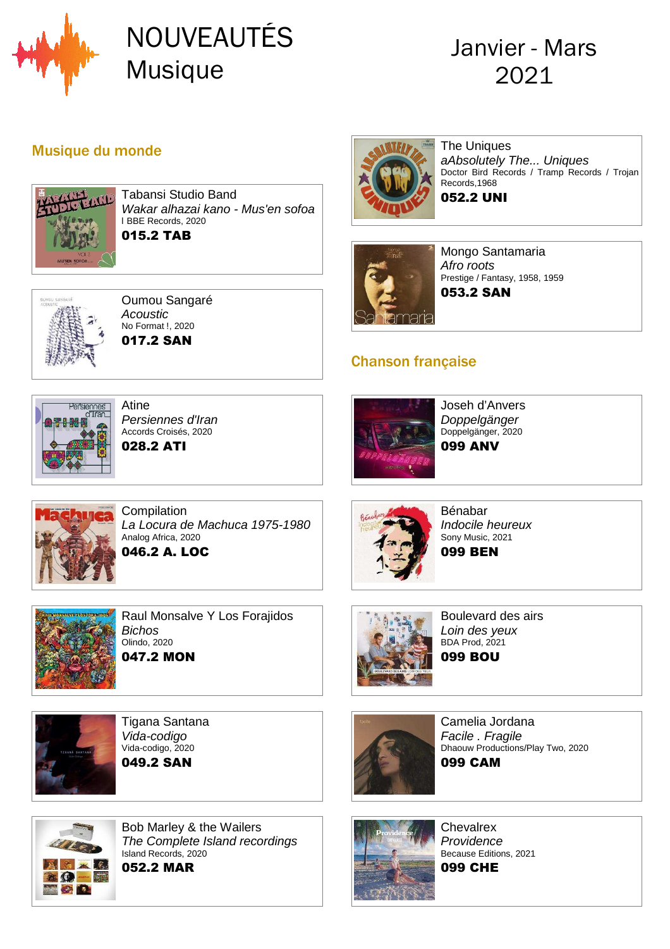

# NOUVEAUTÉS Musique

## Janvier - Mars 2021

#### Musique du monde



Tabansi Studio Band Wakar alhazai kano - Mus'en sofoa l BBE Records, 2020 015.2 TAB



Oumou Sangaré Acoustic No Format !, 2020 017.2 SAN



The Uniques aAbsolutely The... Uniques Doctor Bird Records / Tramp Records / Trojan Records,1968 052.2 UNI



Mongo Santamaria Afro roots Prestige / Fantasy, 1958, 1959 053.2 SAN

#### Chanson française



Atine Persiennes d'Iran Accords Croisés, 2020 028.2 ATI



Joseh d'Anvers Doppelgänger Doppelgänger, 2020 099 ANV



**Compilation** La Locura de Machuca 1975-1980 Analog Africa, 2020 046.2 A. LOC



Raul Monsalve Y Los Forajidos **Bichos** Olindo, 2020 047.2 MON



Tigana Santana Vida-codigo Vida-codigo, 2020 049.2 SAN



Bénabar Indocile heureux Sony Music, 2021 099 BEN



Boulevard des airs Loin des yeux BDA Prod, 2021 099 BOU



Camelia Jordana Facile . Fragile Dhaouw Productions/Play Two, 2020 099 CAM



Bob Marley & the Wailers The Complete Island recordings Island Records, 2020 052.2 MAR



**Chevalrex Providence** Because Editions, 2021 099 CHE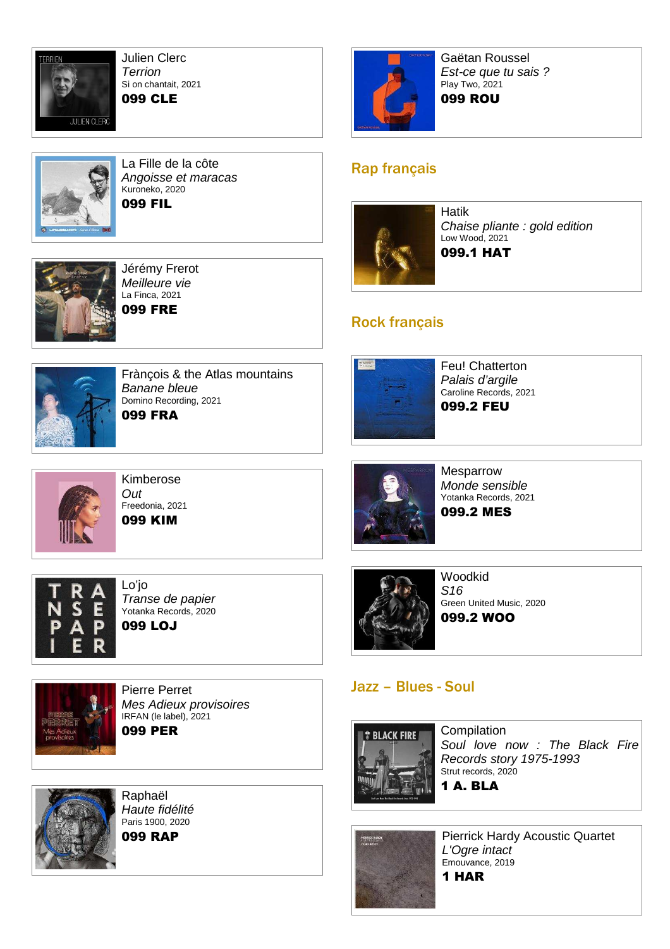

Julien Clerc **Terrion** Si on chantait, 2021 099 CLE



La Fille de la côte Angoisse et maracas Kuroneko, 2020 099 FIL



Jérémy Frerot Meilleure vie La Finca, 2021 099 FRE



Gaëtan Roussel Est-ce que tu sais ? Play Two, 2021

#### 099 ROU

#### Rap français



Hatik Chaise pliante : gold edition Low Wood, 2021 099.1 HAT

#### Rock français



Frànçois & the Atlas mountains Banane bleue Domino Recording, 2021 099 FRA



Kimberose Out Freedonia, 2021 099 KIM



Lo'jo Transe de papier Yotanka Records, 2020 099 LOJ

Pierre Perret

Raphaël

IRFAN (le label), 2021 099 PER

Mes Adieux provisoires



Feu! Chatterton Palais d'argile Caroline Records, 2021 099.2 FEU



Mesparrow Monde sensible Yotanka Records, 2021 099.2 MES



**Woodkid** S16 Green United Music, 2020 099.2 WOO

#### Jazz – Blues - Soul



**Compilation** Soul love now : The Black Fire Records story 1975-1993 Strut records, 2020 1 A. BLA





Pierrick Hardy Acoustic Quartet L'Ogre intact Emouvance, 2019 1 HAR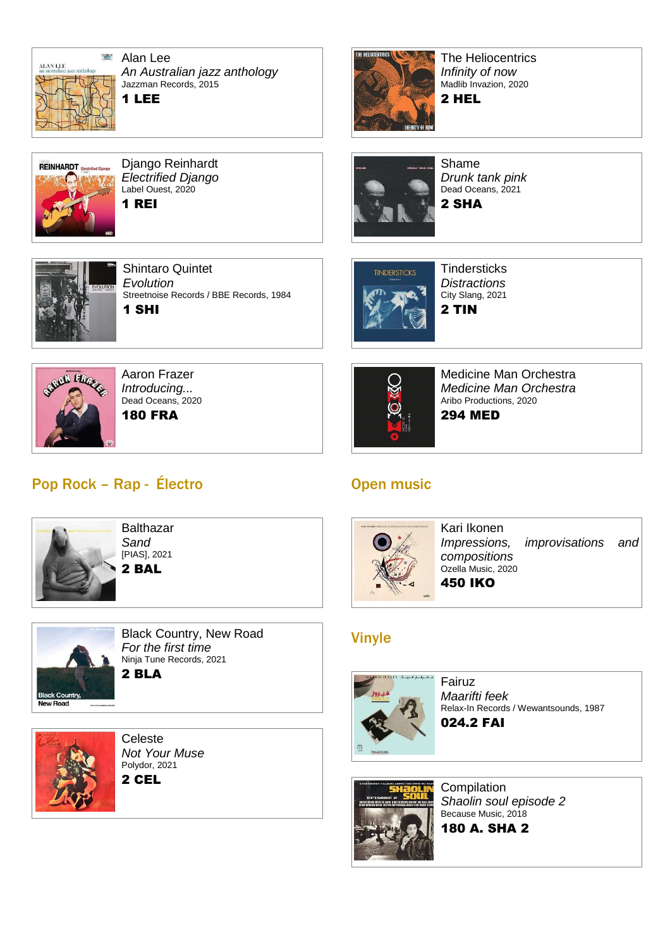

**REINHARDT** 

Alan Lee An Australian jazz anthology Jazzman Records, 2015 1 LEE

Django Reinhardt Electrified Django Label Ouest, 2020

Shintaro Quintet

Streetnoise Records / BBE Records, 1984

**Evolution** 

1 SHI

1 REI



The Heliocentrics Infinity of now Madlib Invazion, 2020

2 HEL



Shame Drunk tank pink Dead Oceans, 2021 2 SHA



**Tindersticks Distractions** City Slang, 2021 2 TIN



Aaron Frazer Introducing... Dead Oceans, 2020 180 FRA

### Pop Rock – Rap - Électro



**Balthazar Sand** [PIAS], 2021 2 BAL



Black Country, New Road For the first time Ninja Tune Records, 2021 2 BLA



Celeste Not Your Muse Polydor, 2021 2 CEL



Medicine Man Orchestra Medicine Man Orchestra Aribo Productions, 2020 294 MED

#### Open music



Kari Ikonen Impressions, improvisations and compositions Ozella Music, 2020 450 IKO

### Vinyle



Fairuz Maarifti feek Relax-In Records / Wewantsounds, 1987 024.2 FAI



**Compilation** Shaolin soul episode 2 Because Music, 2018

180 A. SHA 2